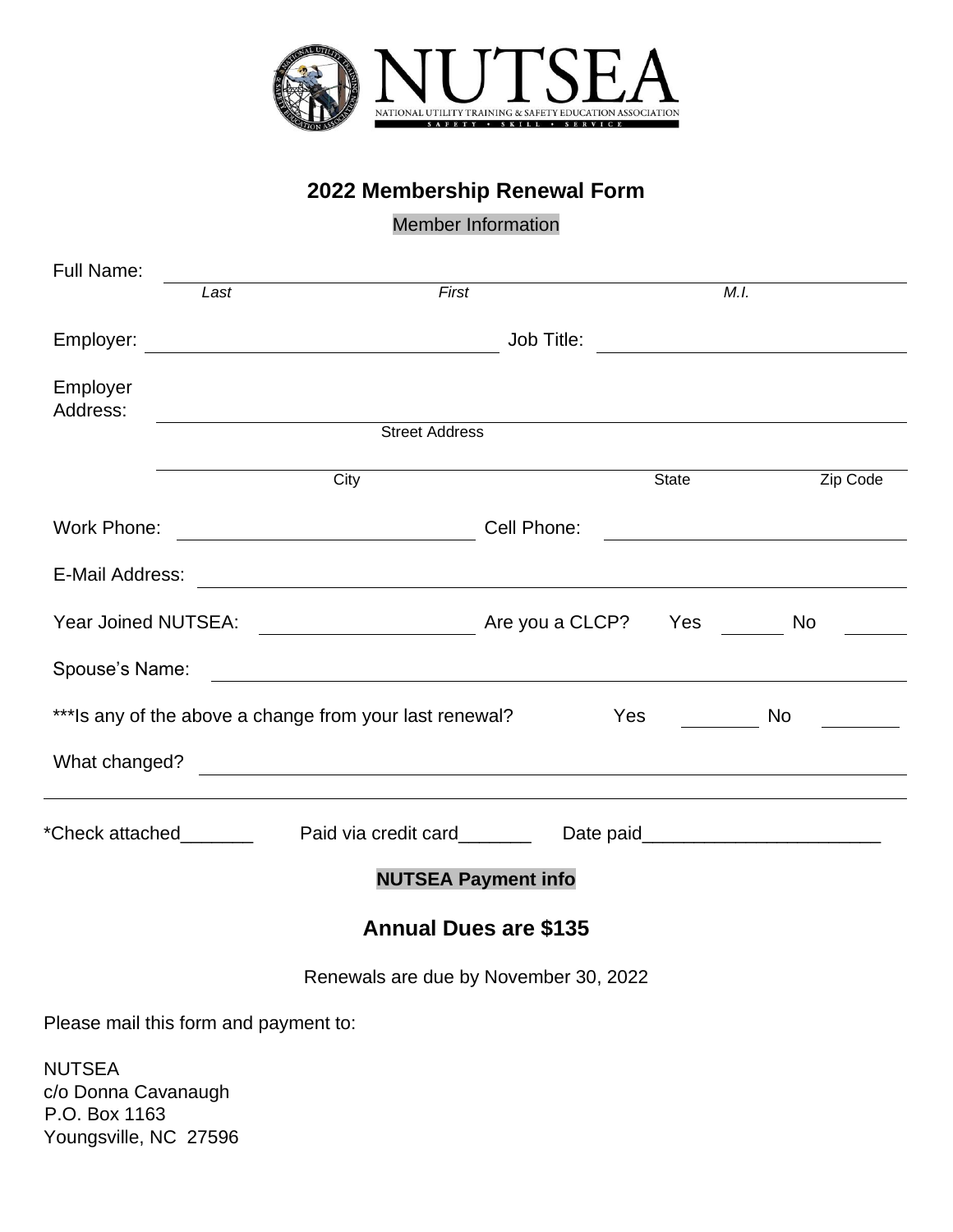

## **2022 Membership Renewal Form**

## Member Information

| <b>Full Name:</b>                                                     |                                                       |                                                                                                                                                                                                                                      |             |       |                                               |
|-----------------------------------------------------------------------|-------------------------------------------------------|--------------------------------------------------------------------------------------------------------------------------------------------------------------------------------------------------------------------------------------|-------------|-------|-----------------------------------------------|
|                                                                       | Last                                                  | First                                                                                                                                                                                                                                |             | M.I.  |                                               |
| Employer:                                                             | <u> 1989 - Johann Stoff, fransk politik (d. 1989)</u> |                                                                                                                                                                                                                                      |             |       |                                               |
| Employer<br>Address:                                                  |                                                       | <u> 1980 - Andrea Station Barbara, politik eta politik eta politik eta politik eta politik eta politik eta politi</u>                                                                                                                |             |       |                                               |
|                                                                       |                                                       | <b>Street Address</b>                                                                                                                                                                                                                |             |       |                                               |
|                                                                       |                                                       | City                                                                                                                                                                                                                                 |             | State | Zip Code                                      |
| Work Phone:                                                           |                                                       | <u> 1980 - Johann Barbara, martxa amerikan personal (h. 1980).</u>                                                                                                                                                                   | Cell Phone: |       | <u> 1989 - Johann Stein, fransk politik (</u> |
| E-Mail Address:                                                       |                                                       | <u> 1980 - Andrea State Barbara, amerikan bahasa di sebagai perangan perangan perangan perangan perangan perangan</u>                                                                                                                |             |       |                                               |
|                                                                       |                                                       |                                                                                                                                                                                                                                      |             |       | No                                            |
|                                                                       |                                                       | Spouse's Name: <u>example and the set of the set of the set of the set of the set of the set of the set of the set of the set of the set of the set of the set of the set of the set of the set of the set of the set of the set</u> |             |       |                                               |
| *** Is any of the above a change from your last renewal?<br>Yes<br>No |                                                       |                                                                                                                                                                                                                                      |             |       |                                               |
| What changed?                                                         |                                                       | <u> 1989 - Johann Stoff, amerikansk politiker (d. 1989)</u>                                                                                                                                                                          |             |       |                                               |
| *Check attached                                                       |                                                       |                                                                                                                                                                                                                                      |             |       |                                               |
| <b>NUTSEA Payment info</b>                                            |                                                       |                                                                                                                                                                                                                                      |             |       |                                               |
| <b>Annual Dues are \$135</b>                                          |                                                       |                                                                                                                                                                                                                                      |             |       |                                               |
|                                                                       |                                                       | Renewals are due by November 30, 2022                                                                                                                                                                                                |             |       |                                               |
| Please mail this form and payment to:                                 |                                                       |                                                                                                                                                                                                                                      |             |       |                                               |
| NUTSEA<br>c/o Donna Cavanaugh<br>$D \cap D_{\alpha}$ $(1162)$         |                                                       |                                                                                                                                                                                                                                      |             |       |                                               |

P.O. Box 1163 Youngsville, NC 27596